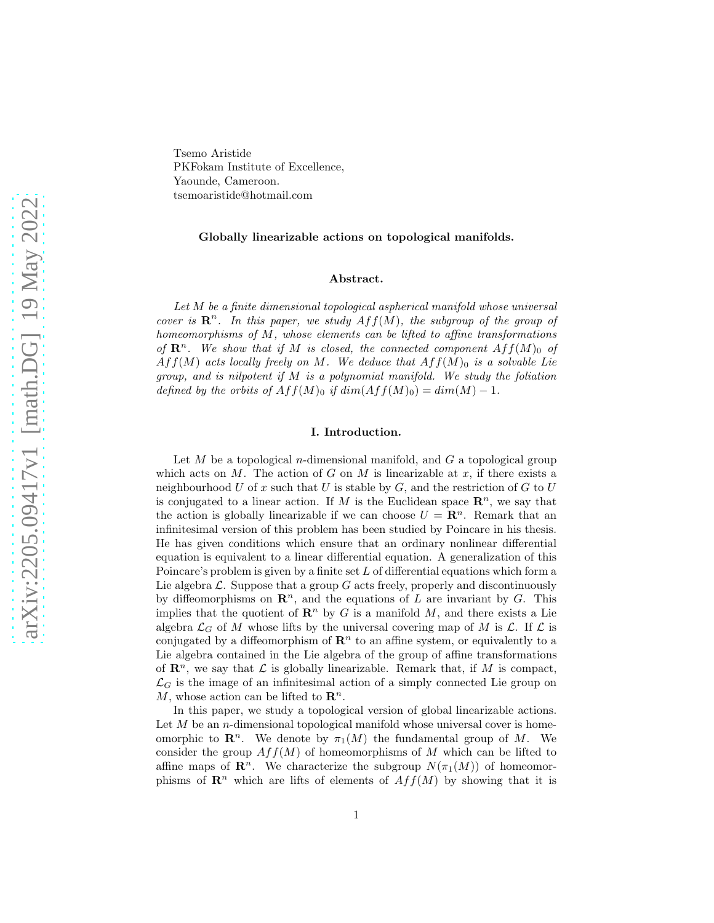Tsemo Aristide PKFokam Institute of Excellence, Yaounde, Cameroon. tsemoaristide@hotmail.com

### Globally linearizable actions on topological manifolds.

#### Abstract.

Let M be a finite dimensional topological aspherical manifold whose universal cover is  $\mathbb{R}^n$ . In this paper, we study  $Aff(M)$ , the subgroup of the group of homeomorphisms of M, whose elements can be lifted to affine transformations of  $\mathbb{R}^n$ . We show that if M is closed, the connected component  $Aff(M)_{0}$  of  $Aff(M)$  acts locally freely on M. We deduce that  $Aff(M)_0$  is a solvable Lie group, and is nilpotent if M is a polynomial manifold. We study the foliation defined by the orbits of  $Aff(M)_0$  if  $dim(Aff(M)_0) = dim(M) - 1$ .

### I. Introduction.

Let  $M$  be a topological *n*-dimensional manifold, and  $G$  a topological group which acts on M. The action of G on M is linearizable at x, if there exists a neighbourhood  $U$  of  $x$  such that  $U$  is stable by  $G$ , and the restriction of  $G$  to  $U$ is conjugated to a linear action. If M is the Euclidean space  $\mathbb{R}^n$ , we say that the action is globally linearizable if we can choose  $U = \mathbb{R}^n$ . Remark that an infinitesimal version of this problem has been studied by Poincare in his thesis. He has given conditions which ensure that an ordinary nonlinear differential equation is equivalent to a linear differential equation. A generalization of this Poincare's problem is given by a finite set L of differential equations which form a Lie algebra  $\mathcal L$ . Suppose that a group  $G$  acts freely, properly and discontinuously by diffeomorphisms on  $\mathbb{R}^n$ , and the equations of L are invariant by G. This implies that the quotient of  $\mathbb{R}^n$  by G is a manifold M, and there exists a Lie algebra  $\mathcal{L}_G$  of M whose lifts by the universal covering map of M is  $\mathcal{L}$ . If  $\mathcal{L}$  is conjugated by a diffeomorphism of  $\mathbb{R}^n$  to an affine system, or equivalently to a Lie algebra contained in the Lie algebra of the group of affine transformations of  $\mathbb{R}^n$ , we say that  $\mathcal L$  is globally linearizable. Remark that, if M is compact,  $\mathcal{L}_G$  is the image of an infinitesimal action of a simply connected Lie group on M, whose action can be lifted to  $\mathbb{R}^n$ .

In this paper, we study a topological version of global linearizable actions. Let  $M$  be an *n*-dimensional topological manifold whose universal cover is homeomorphic to  $\mathbb{R}^n$ . We denote by  $\pi_1(M)$  the fundamental group of M. We consider the group  $Aff(M)$  of homeomorphisms of M which can be lifted to affine maps of  $\mathbb{R}^n$ . We characterize the subgroup  $N(\pi_1(M))$  of homeomorphisms of  $\mathbb{R}^n$  which are lifts of elements of  $Aff(M)$  by showing that it is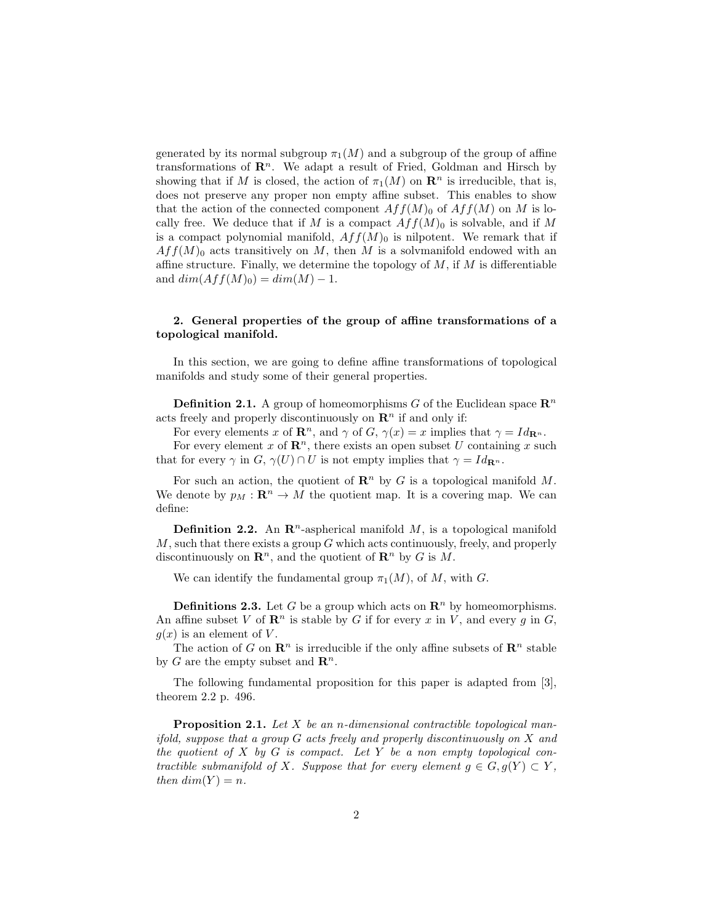generated by its normal subgroup  $\pi_1(M)$  and a subgroup of the group of affine transformations of  $\mathbb{R}^n$ . We adapt a result of Fried, Goldman and Hirsch by showing that if M is closed, the action of  $\pi_1(M)$  on  $\mathbb{R}^n$  is irreducible, that is, does not preserve any proper non empty affine subset. This enables to show that the action of the connected component  $Aff(M)_0$  of  $Aff(M)$  on M is locally free. We deduce that if M is a compact  $Aff(M)_0$  is solvable, and if M is a compact polynomial manifold,  $Aff(M)_0$  is nilpotent. We remark that if  $Aff(M)_0$  acts transitively on M, then M is a solvmanifold endowed with an affine structure. Finally, we determine the topology of  $M$ , if  $M$  is differentiable and  $dim(Aff(M)<sub>0</sub>) = dim(M) - 1$ .

# 2. General properties of the group of affine transformations of a topological manifold.

In this section, we are going to define affine transformations of topological manifolds and study some of their general properties.

**Definition 2.1.** A group of homeomorphisms G of the Euclidean space  $\mathbb{R}^n$ acts freely and properly discontinuously on  $\mathbb{R}^n$  if and only if:

For every elements x of  $\mathbb{R}^n$ , and  $\gamma$  of  $G, \gamma(x) = x$  implies that  $\gamma = Id_{\mathbb{R}^n}$ .

For every element x of  $\mathbb{R}^n$ , there exists an open subset U containing x such that for every  $\gamma$  in  $G$ ,  $\gamma(U) \cap U$  is not empty implies that  $\gamma = Id_{\mathbf{R}^n}$ .

For such an action, the quotient of  $\mathbb{R}^n$  by G is a topological manifold M. We denote by  $p_M : \mathbf{R}^n \to M$  the quotient map. It is a covering map. We can define:

**Definition 2.2.** An  $\mathbb{R}^n$ -aspherical manifold M, is a topological manifold  $M$ , such that there exists a group  $G$  which acts continuously, freely, and properly discontinuously on  $\mathbb{R}^n$ , and the quotient of  $\mathbb{R}^n$  by G is M.

We can identify the fundamental group  $\pi_1(M)$ , of M, with G.

**Definitions 2.3.** Let G be a group which acts on  $\mathbb{R}^n$  by homeomorphisms. An affine subset V of  $\mathbb{R}^n$  is stable by G if for every x in V, and every g in G,  $g(x)$  is an element of V.

The action of G on  $\mathbb{R}^n$  is irreducible if the only affine subsets of  $\mathbb{R}^n$  stable by G are the empty subset and  $\mathbb{R}^n$ .

The following fundamental proposition for this paper is adapted from [3], theorem 2.2 p. 496.

**Proposition 2.1.** Let  $X$  be an n-dimensional contractible topological manifold, suppose that a group  $G$  acts freely and properly discontinuously on  $X$  and the quotient of  $X$  by  $G$  is compact. Let  $Y$  be a non-empty topological contractible submanifold of X. Suppose that for every element  $q \in G, q(Y) \subset Y$ , then  $dim(Y) = n$ .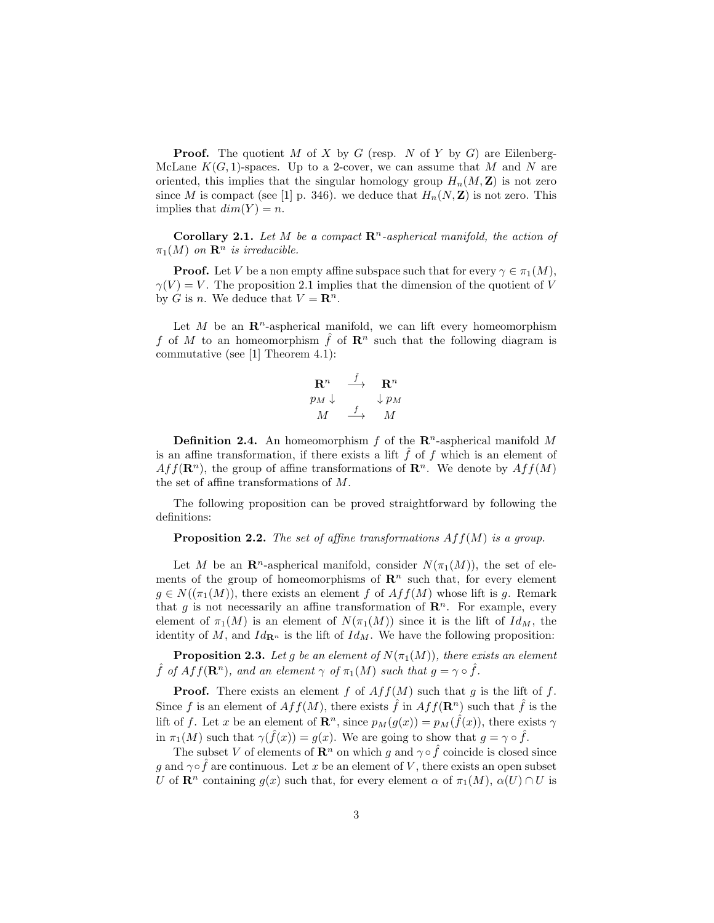**Proof.** The quotient M of X by G (resp. N of Y by G) are Eilenberg-McLane  $K(G, 1)$ -spaces. Up to a 2-cover, we can assume that M and N are oriented, this implies that the singular homology group  $H_n(M, \mathbf{Z})$  is not zero since M is compact (see [1] p. 346). we deduce that  $H_n(N, \mathbb{Z})$  is not zero. This implies that  $dim(Y) = n$ .

Corollary 2.1. Let M be a compact  $\mathbb{R}^n$ -aspherical manifold, the action of  $\pi_1(M)$  on  $\mathbf{R}^n$  is irreducible.

**Proof.** Let V be a non empty affine subspace such that for every  $\gamma \in \pi_1(M)$ ,  $\gamma(V) = V$ . The proposition 2.1 implies that the dimension of the quotient of V by G is n. We deduce that  $V = \mathbb{R}^n$ .

Let M be an  $\mathbb{R}^n$ -aspherical manifold, we can lift every homeomorphism f of M to an homeomorphism f of  $\mathbb{R}^n$  such that the following diagram is commutative (see [1] Theorem 4.1):

$$
\begin{array}{ccc}\n\mathbf{R}^n & \xrightarrow{\hat{f}} & \mathbf{R}^n \\
p_M \downarrow & & \downarrow p_M \\
M & \xrightarrow{f} & M\n\end{array}
$$

**Definition 2.4.** An homeomorphism f of the  $\mathbb{R}^n$ -aspherical manifold M is an affine transformation, if there exists a lift  $\hat{f}$  of  $f$  which is an element of  $Aff(\mathbf{R}^n)$ , the group of affine transformations of  $\mathbf{R}^n$ . We denote by  $Aff(M)$ the set of affine transformations of M.

The following proposition can be proved straightforward by following the definitions:

**Proposition 2.2.** The set of affine transformations  $Aff(M)$  is a group.

Let M be an  $\mathbb{R}^n$ -aspherical manifold, consider  $N(\pi_1(M))$ , the set of elements of the group of homeomorphisms of  $\mathbb{R}^n$  such that, for every element  $q \in N((\pi_1(M))$ , there exists an element f of  $Aff(M)$  whose lift is q. Remark that g is not necessarily an affine transformation of  $\mathbb{R}^n$ . For example, every element of  $\pi_1(M)$  is an element of  $N(\pi_1(M))$  since it is the lift of  $Id_M$ , the identity of  $M$ , and  $Id_{\mathbf{R}^n}$  is the lift of  $Id_M$ . We have the following proposition:

**Proposition 2.3.** Let g be an element of  $N(\pi_1(M))$ , there exists an element  $\hat{f}$  of  $Aff(\mathbf{R}^n)$ , and an element  $\gamma$  of  $\pi_1(M)$  such that  $g = \gamma \circ \hat{f}$ .

**Proof.** There exists an element f of  $Aff(M)$  such that g is the lift of f. Since f is an element of  $Aff(M)$ , there exists  $\hat{f}$  in  $Aff(\mathbf{R}^n)$  such that  $\hat{f}$  is the lift of f. Let x be an element of  $\mathbf{R}^n$ , since  $p_M(g(x)) = p_M(\hat{f}(x))$ , there exists  $\gamma$ in  $\pi_1(M)$  such that  $\gamma(\hat{f}(x)) = g(x)$ . We are going to show that  $g = \gamma \circ \hat{f}$ .

The subset V of elements of  $\mathbb{R}^n$  on which g and  $\gamma \circ \hat{f}$  coincide is closed since g and  $\gamma \circ \hat{f}$  are continuous. Let x be an element of V, there exists an open subset U of  $\mathbb{R}^n$  containing  $g(x)$  such that, for every element  $\alpha$  of  $\pi_1(M)$ ,  $\alpha(U) \cap U$  is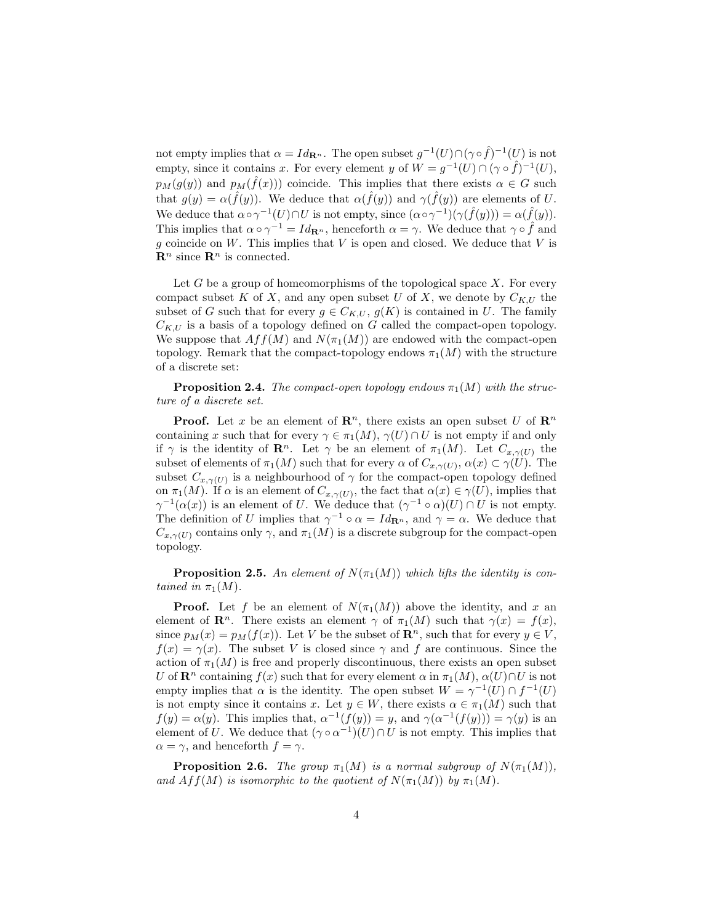not empty implies that  $\alpha = Id_{\mathbf{R}^n}$ . The open subset  $g^{-1}(U) \cap (\gamma \circ \hat{f})^{-1}(U)$  is not empty, since it contains x. For every element y of  $W = g^{-1}(U) \cap (\gamma \circ \hat{f})^{-1}(U)$ ,  $p_M(g(y))$  and  $p_M(\hat{f}(x))$  coincide. This implies that there exists  $\alpha \in G$  such that  $g(y) = \alpha(\hat{f}(y))$ . We deduce that  $\alpha(\hat{f}(y))$  and  $\gamma(\hat{f}(y))$  are elements of U. We deduce that  $\alpha \circ \gamma^{-1}(U) \cap U$  is not empty, since  $(\alpha \circ \gamma^{-1})(\gamma(\hat{f}(y))) = \alpha(\hat{f}(y)).$ This implies that  $\alpha \circ \gamma^{-1} = Id_{\mathbf{R}^n}$ , henceforth  $\alpha = \gamma$ . We deduce that  $\gamma \circ \hat{f}$  and g coincide on  $W$ . This implies that  $V$  is open and closed. We deduce that  $V$  is  $\mathbf{R}^n$  since  $\mathbf{R}^n$  is connected.

Let  $G$  be a group of homeomorphisms of the topological space  $X$ . For every compact subset K of X, and any open subset U of X, we denote by  $C_{K,U}$  the subset of G such that for every  $g \in C_{K,U}$ ,  $g(K)$  is contained in U. The family  $C_{K,U}$  is a basis of a topology defined on G called the compact-open topology. We suppose that  $Aff(M)$  and  $N(\pi_1(M))$  are endowed with the compact-open topology. Remark that the compact-topology endows  $\pi_1(M)$  with the structure of a discrete set:

**Proposition 2.4.** The compact-open topology endows  $\pi_1(M)$  with the structure of a discrete set.

**Proof.** Let x be an element of  $\mathbb{R}^n$ , there exists an open subset U of  $\mathbb{R}^n$ containing x such that for every  $\gamma \in \pi_1(M)$ ,  $\gamma(U) \cap U$  is not empty if and only if  $\gamma$  is the identity of  $\mathbf{R}^n$ . Let  $\gamma$  be an element of  $\pi_1(M)$ . Let  $C_{x,\gamma(U)}$  the subset of elements of  $\pi_1(M)$  such that for every  $\alpha$  of  $C_{x,\gamma(U)}$ ,  $\alpha(x) \subset \gamma(U)$ . The subset  $C_{x,\gamma(U)}$  is a neighbourhood of  $\gamma$  for the compact-open topology defined on  $\pi_1(M)$ . If  $\alpha$  is an element of  $C_{x,\gamma(U)}$ , the fact that  $\alpha(x) \in \gamma(U)$ , implies that  $\gamma^{-1}(\alpha(x))$  is an element of U. We deduce that  $(\gamma^{-1} \circ \alpha)(U) \cap U$  is not empty. The definition of U implies that  $\gamma^{-1} \circ \alpha = Id_{\mathbf{R}^n}$ , and  $\gamma = \alpha$ . We deduce that  $C_{x,\gamma(U)}$  contains only  $\gamma$ , and  $\pi_1(M)$  is a discrete subgroup for the compact-open topology.

**Proposition 2.5.** An element of  $N(\pi_1(M))$  which lifts the identity is contained in  $\pi_1(M)$ .

**Proof.** Let f be an element of  $N(\pi_1(M))$  above the identity, and x an element of  $\mathbb{R}^n$ . There exists an element  $\gamma$  of  $\pi_1(M)$  such that  $\gamma(x) = f(x)$ , since  $p_M(x) = p_M(f(x))$ . Let V be the subset of  $\mathbb{R}^n$ , such that for every  $y \in V$ ,  $f(x) = \gamma(x)$ . The subset V is closed since  $\gamma$  and f are continuous. Since the action of  $\pi_1(M)$  is free and properly discontinuous, there exists an open subset U of  $\mathbf{R}^n$  containing  $f(x)$  such that for every element  $\alpha$  in  $\pi_1(M)$ ,  $\alpha(U)\cap U$  is not empty implies that  $\alpha$  is the identity. The open subset  $W = \gamma^{-1}(U) \cap f^{-1}(U)$ is not empty since it contains x. Let  $y \in W$ , there exists  $\alpha \in \pi_1(M)$  such that  $f(y) = \alpha(y)$ . This implies that,  $\alpha^{-1}(f(y)) = y$ , and  $\gamma(\alpha^{-1}(f(y))) = \gamma(y)$  is an element of U. We deduce that  $(\gamma \circ \alpha^{-1})(U) \cap U$  is not empty. This implies that  $\alpha = \gamma$ , and henceforth  $f = \gamma$ .

**Proposition 2.6.** The group  $\pi_1(M)$  is a normal subgroup of  $N(\pi_1(M))$ , and  $Aff(M)$  is isomorphic to the quotient of  $N(\pi_1(M))$  by  $\pi_1(M)$ .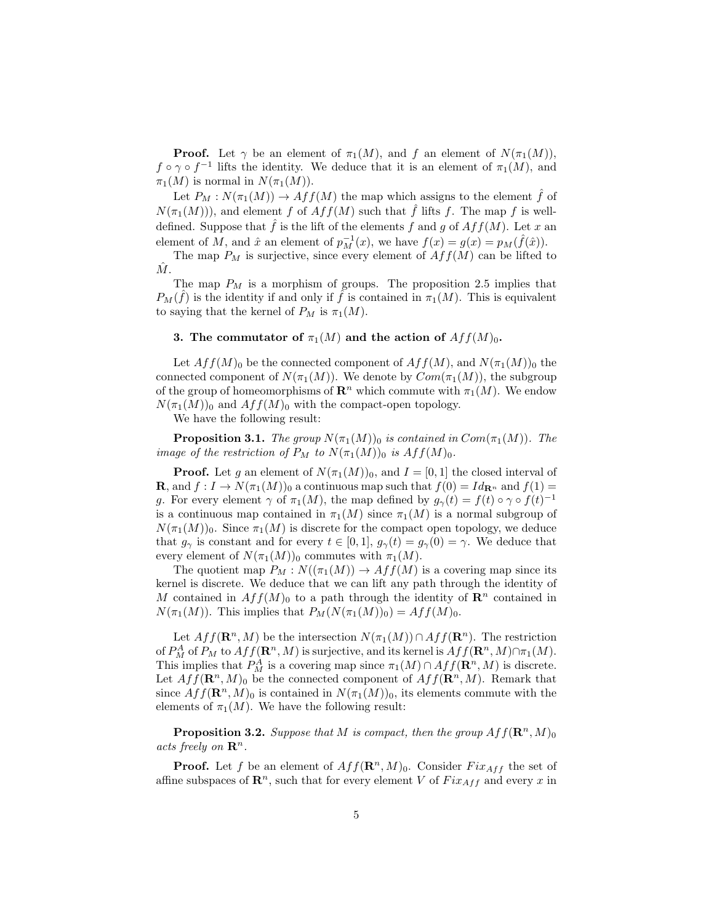**Proof.** Let  $\gamma$  be an element of  $\pi_1(M)$ , and f an element of  $N(\pi_1(M))$ ,  $f \circ \gamma \circ f^{-1}$  lifts the identity. We deduce that it is an element of  $\pi_1(M)$ , and  $\pi_1(M)$  is normal in  $N(\pi_1(M))$ .

Let  $P_M : N(\pi_1(M)) \to Aff(M)$  the map which assigns to the element f of  $N(\pi_1(M))$ , and element f of  $Aff(M)$  such that  $\hat{f}$  lifts f. The map f is welldefined. Suppose that  $\hat{f}$  is the lift of the elements f and g of  $Aff(M)$ . Let x an element of M, and  $\hat{x}$  an element of  $p_M^{-1}(x)$ , we have  $f(x) = g(x) = p_M(\hat{f}(\hat{x}))$ .

The map  $P_M$  is surjective, since every element of  $Aff(M)$  can be lifted to  $\hat{M}$ .

The map  $P_M$  is a morphism of groups. The proposition 2.5 implies that  $P_M(\hat{f})$  is the identity if and only if  $\hat{f}$  is contained in  $\pi_1(M)$ . This is equivalent to saying that the kernel of  $P_M$  is  $\pi_1(M)$ .

## 3. The commutator of  $\pi_1(M)$  and the action of  $Aff(M)_0$ .

Let  $Aff(M)_0$  be the connected component of  $Aff(M)$ , and  $N(\pi_1(M))_0$  the connected component of  $N(\pi_1(M))$ . We denote by  $Com(\pi_1(M))$ , the subgroup of the group of homeomorphisms of  $\mathbb{R}^n$  which commute with  $\pi_1(M)$ . We endow  $N(\pi_1(M))_0$  and  $Aff(M)_0$  with the compact-open topology.

We have the following result:

**Proposition 3.1.** The group  $N(\pi_1(M))_0$  is contained in  $Com(\pi_1(M))$ . The image of the restriction of  $P_M$  to  $N(\pi_1(M))_0$  is  $Aff(M)_0$ .

**Proof.** Let g an element of  $N(\pi_1(M))_0$ , and  $I = [0, 1]$  the closed interval of **R**, and  $f: I \to N(\pi_1(M))_0$  a continuous map such that  $f(0) = Id_{\mathbf{R}^n}$  and  $f(1) =$ g. For every element  $\gamma$  of  $\pi_1(M)$ , the map defined by  $g_{\gamma}(t) = f(t) \circ \gamma \circ f(t)^{-1}$ is a continuous map contained in  $\pi_1(M)$  since  $\pi_1(M)$  is a normal subgroup of  $N(\pi_1(M))_0$ . Since  $\pi_1(M)$  is discrete for the compact open topology, we deduce that  $g_{\gamma}$  is constant and for every  $t \in [0,1], g_{\gamma}(t) = g_{\gamma}(0) = \gamma$ . We deduce that every element of  $N(\pi_1(M))_0$  commutes with  $\pi_1(M)$ .

The quotient map  $P_M : N((\pi_1(M)) \to Aff(M)$  is a covering map since its kernel is discrete. We deduce that we can lift any path through the identity of M contained in  $Aff(M)_0$  to a path through the identity of  $\mathbb{R}^n$  contained in  $N(\pi_1(M))$ . This implies that  $P_M(N(\pi_1(M))_0) = Aff(M)_0$ .

Let  $Aff(\mathbf{R}^n, M)$  be the intersection  $N(\pi_1(M)) \cap Aff(\mathbf{R}^n)$ . The restriction of  $P_M^A$  of  $P_M$  to  $Aff(\mathbf{R}^n, M)$  is surjective, and its kernel is  $Aff(\mathbf{R}^n, M) \cap \pi_1(M)$ . This implies that  $P_M^A$  is a covering map since  $\pi_1(M) \cap Aff(\mathbf{R}^n, M)$  is discrete. Let  $Aff(\mathbf{R}^n, M)_0$  be the connected component of  $Aff(\mathbf{R}^n, M)$ . Remark that since  $Aff(\mathbf{R}^n, M)_0$  is contained in  $N(\pi_1(M))_0$ , its elements commute with the elements of  $\pi_1(M)$ . We have the following result:

**Proposition 3.2.** Suppose that M is compact, then the group  $Aff(\mathbb{R}^n, M)_{0}$ acts freely on  $\mathbf{R}^n$ .

**Proof.** Let f be an element of  $Aff(\mathbf{R}^n, M)_0$ . Consider  $Fix_{Aff}$  the set of affine subspaces of  $\mathbb{R}^n$ , such that for every element V of  $Fix_{Aff}$  and every x in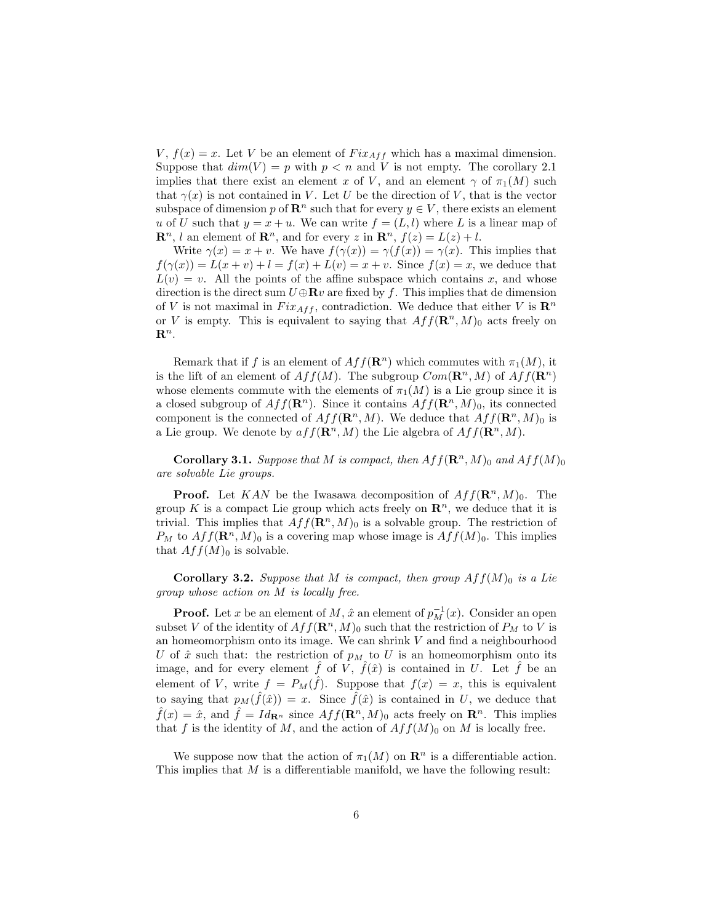$V, f(x) = x$ . Let V be an element of  $Fix_{Aff}$  which has a maximal dimension. Suppose that  $dim(V) = p$  with  $p < n$  and V is not empty. The corollary 2.1 implies that there exist an element x of V, and an element  $\gamma$  of  $\pi_1(M)$  such that  $\gamma(x)$  is not contained in V. Let U be the direction of V, that is the vector subspace of dimension p of  $\mathbb{R}^n$  such that for every  $y \in V$ , there exists an element u of U such that  $y = x + u$ . We can write  $f = (L, l)$  where L is a linear map of  $\mathbf{R}^n$ , l an element of  $\mathbf{R}^n$ , and for every z in  $\mathbf{R}^n$ ,  $f(z) = L(z) + l$ .

Write  $\gamma(x) = x + v$ . We have  $f(\gamma(x)) = \gamma(f(x)) = \gamma(x)$ . This implies that  $f(\gamma(x)) = L(x+v) + l = f(x) + L(v) = x+v$ . Since  $f(x) = x$ , we deduce that  $L(v) = v$ . All the points of the affine subspace which contains x, and whose direction is the direct sum  $U \oplus \mathbf{R}v$  are fixed by f. This implies that de dimension of V is not maximal in  $Fix_{Aff}$ , contradiction. We deduce that either V is  $\mathbb{R}^n$ or V is empty. This is equivalent to saying that  $Aff(\mathbf{R}^n, M)_0$  acts freely on  $\mathbf{R}^n$ .

Remark that if f is an element of  $Aff(\mathbb{R}^n)$  which commutes with  $\pi_1(M)$ , it is the lift of an element of  $Aff(M)$ . The subgroup  $Com(\mathbb{R}^n, M)$  of  $Aff(\mathbb{R}^n)$ whose elements commute with the elements of  $\pi_1(M)$  is a Lie group since it is a closed subgroup of  $Aff(\mathbf{R}^n)$ . Since it contains  $Aff(\mathbf{R}^n, M)_0$ , its connected component is the connected of  $Aff(\mathbf{R}^n, M)$ . We deduce that  $Aff(\mathbf{R}^n, M)_0$  is a Lie group. We denote by  $aff(\mathbf{R}^n, M)$  the Lie algebra of  $Aff(\mathbf{R}^n, M)$ .

**Corollary 3.1.** Suppose that M is compact, then  $Aff(\mathbf{R}^n, M)_0$  and  $Aff(M)_0$ are solvable Lie groups.

**Proof.** Let KAN be the Iwasawa decomposition of  $Aff(\mathbf{R}^n, M)_0$ . The group K is a compact Lie group which acts freely on  $\mathbb{R}^n$ , we deduce that it is trivial. This implies that  $Aff(\mathbf{R}^n, M)_0$  is a solvable group. The restriction of  $P_M$  to  $Aff(\mathbf{R}^n, M)_0$  is a covering map whose image is  $Aff(M)_0$ . This implies that  $Aff(M)_0$  is solvable.

**Corollary 3.2.** Suppose that M is compact, then group  $Aff(M)_0$  is a Lie group whose action on M is locally free.

**Proof.** Let x be an element of M,  $\hat{x}$  an element of  $p_M^{-1}(x)$ . Consider an open subset V of the identity of  $Aff(\mathbf{R}^n, M)_0$  such that the restriction of  $P_M$  to V is an homeomorphism onto its image. We can shrink  $V$  and find a neighbourhood U of  $\hat{x}$  such that: the restriction of  $p_M$  to U is an homeomorphism onto its image, and for every element  $\hat{f}$  of  $\hat{V}$ ,  $\hat{f}(\hat{x})$  is contained in U. Let  $\hat{f}$  be an element of V, write  $f = P_M(\hat{f})$ . Suppose that  $f(x) = x$ , this is equivalent to saying that  $p_M(\hat{f}(\hat{x})) = x$ . Since  $\hat{f}(\hat{x})$  is contained in U, we deduce that  $\hat{f}(x) = \hat{x}$ , and  $\hat{f} = Id_{\mathbf{R}^n}$  since  $Aff(\mathbf{R}^n, M)_0$  acts freely on  $\mathbf{R}^n$ . This implies that f is the identity of M, and the action of  $Aff(M)_0$  on M is locally free.

We suppose now that the action of  $\pi_1(M)$  on  $\mathbb{R}^n$  is a differentiable action. This implies that M is a differentiable manifold, we have the following result: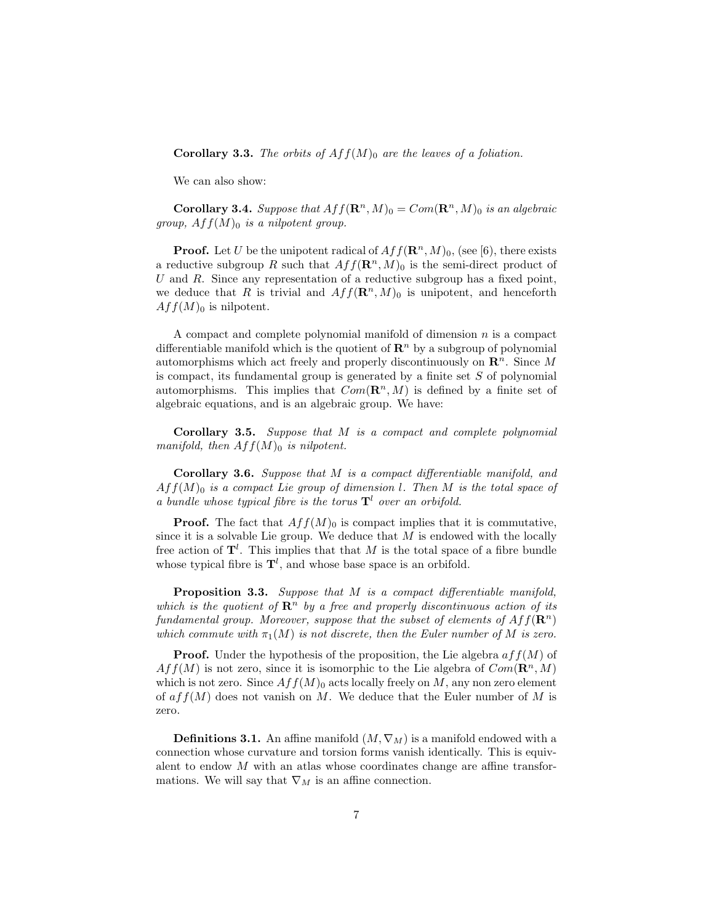**Corollary 3.3.** The orbits of  $Aff(M)_0$  are the leaves of a foliation.

We can also show:

**Corollary 3.4.** Suppose that  $Aff(\mathbf{R}^n, M)_0 = Com(\mathbf{R}^n, M)_0$  is an algebraic group,  $Aff(M)_0$  is a nilpotent group.

**Proof.** Let U be the unipotent radical of  $Aff(\mathbf{R}^n, M)_0$ , (see [6), there exists a reductive subgroup R such that  $Aff(\mathbf{R}^n, M)_0$  is the semi-direct product of U and R. Since any representation of a reductive subgroup has a fixed point, we deduce that R is trivial and  $Aff(\mathbf{R}^n, M)_0$  is unipotent, and henceforth  $Aff(M)_0$  is nilpotent.

A compact and complete polynomial manifold of dimension  $n$  is a compact differentiable manifold which is the quotient of  $\mathbb{R}^n$  by a subgroup of polynomial automorphisms which act freely and properly discontinuously on  $\mathbb{R}^n$ . Since M is compact, its fundamental group is generated by a finite set  $S$  of polynomial automorphisms. This implies that  $Com(\mathbb{R}^n, M)$  is defined by a finite set of algebraic equations, and is an algebraic group. We have:

Corollary 3.5. Suppose that M is a compact and complete polynomial manifold, then  $Aff(M)_0$  is nilpotent.

Corollary 3.6. Suppose that M is a compact differentiable manifold, and  $Aff(M)_0$  is a compact Lie group of dimension l. Then M is the total space of a bundle whose typical fibre is the torus  $\mathbf{T}^l$  over an orbifold.

**Proof.** The fact that  $Aff(M)_0$  is compact implies that it is commutative, since it is a solvable Lie group. We deduce that  $M$  is endowed with the locally free action of  $\mathbf{T}^l$ . This implies that that M is the total space of a fibre bundle whose typical fibre is  $\mathbf{T}^l$ , and whose base space is an orbifold.

**Proposition 3.3.** Suppose that M is a compact differentiable manifold, which is the quotient of  $\mathbb{R}^n$  by a free and properly discontinuous action of its fundamental group. Moreover, suppose that the subset of elements of  $Aff(\mathbf{R}^n)$ which commute with  $\pi_1(M)$  is not discrete, then the Euler number of M is zero.

**Proof.** Under the hypothesis of the proposition, the Lie algebra  $aff(M)$  of  $Aff(M)$  is not zero, since it is isomorphic to the Lie algebra of  $Com(\mathbf{R}^n, M)$ which is not zero. Since  $Aff(M)_0$  acts locally freely on M, any non zero element of  $aff(M)$  does not vanish on M. We deduce that the Euler number of M is zero.

**Definitions 3.1.** An affine manifold  $(M, \nabla_M)$  is a manifold endowed with a connection whose curvature and torsion forms vanish identically. This is equivalent to endow  $M$  with an atlas whose coordinates change are affine transformations. We will say that  $\nabla_M$  is an affine connection.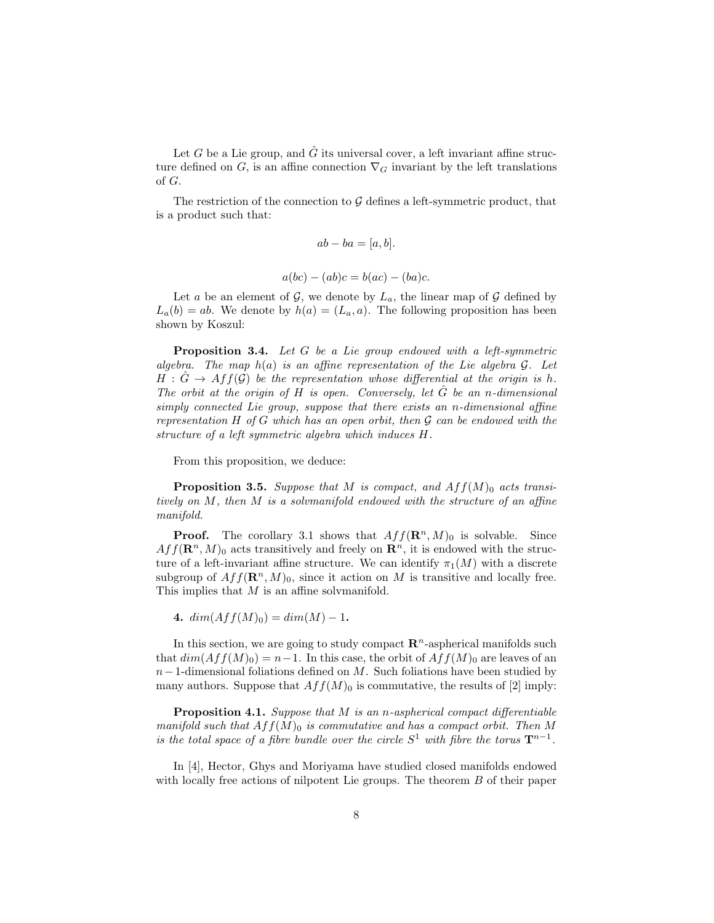Let G be a Lie group, and  $\hat{G}$  its universal cover, a left invariant affine structure defined on G, is an affine connection  $\nabla_G$  invariant by the left translations of G.

The restriction of the connection to  $\mathcal G$  defines a left-symmetric product, that is a product such that:

$$
ab - ba = [a, b].
$$

$$
a(bc) - (ab)c = b(ac) - (ba)c.
$$

Let a be an element of  $\mathcal{G}$ , we denote by  $L_a$ , the linear map of  $\mathcal{G}$  defined by  $L_a(b) = ab$ . We denote by  $h(a) = (L_a, a)$ . The following proposition has been shown by Koszul:

**Proposition 3.4.** Let G be a Lie group endowed with a left-symmetric algebra. The map  $h(a)$  is an affine representation of the Lie algebra  $G$ . Let  $H : \hat{G} \to Aff(\mathcal{G})$  be the representation whose differential at the origin is h. The orbit at the origin of H is open. Conversely, let  $\hat{G}$  be an n-dimensional simply connected Lie group, suppose that there exists an n-dimensional affine representation H of G which has an open orbit, then  $\mathcal G$  can be endowed with the structure of a left symmetric algebra which induces H.

From this proposition, we deduce:

**Proposition 3.5.** Suppose that M is compact, and  $Aff(M)_0$  acts transitively on M, then M is a solvmanifold endowed with the structure of an affine manifold.

**Proof.** The corollary 3.1 shows that  $Aff(\mathbb{R}^n, M)_0$  is solvable. Since  $Aff(\mathbf{R}^n, M)_0$  acts transitively and freely on  $\mathbf{R}^n$ , it is endowed with the structure of a left-invariant affine structure. We can identify  $\pi_1(M)$  with a discrete subgroup of  $Aff(\mathbf{R}^n, M)_0$ , since it action on M is transitive and locally free. This implies that M is an affine solvmanifold.

4.  $dim(Aff(M)_0) = dim(M) - 1$ .

In this section, we are going to study compact  $\mathbb{R}^n$ -aspherical manifolds such that  $dim(Aff(M)<sub>0</sub>) = n-1$ . In this case, the orbit of  $Aff(M)<sub>0</sub>$  are leaves of an  $n-1$ -dimensional foliations defined on M. Such foliations have been studied by many authors. Suppose that  $Aff(M)_0$  is commutative, the results of [2] imply:

**Proposition 4.1.** Suppose that  $M$  is an n-aspherical compact differentiable manifold such that  $Aff(M)_0$  is commutative and has a compact orbit. Then M is the total space of a fibre bundle over the circle  $S^1$  with fibre the torus  $\mathbf{T}^{n-1}$ .

In [4], Hector, Ghys and Moriyama have studied closed manifolds endowed with locally free actions of nilpotent Lie groups. The theorem B of their paper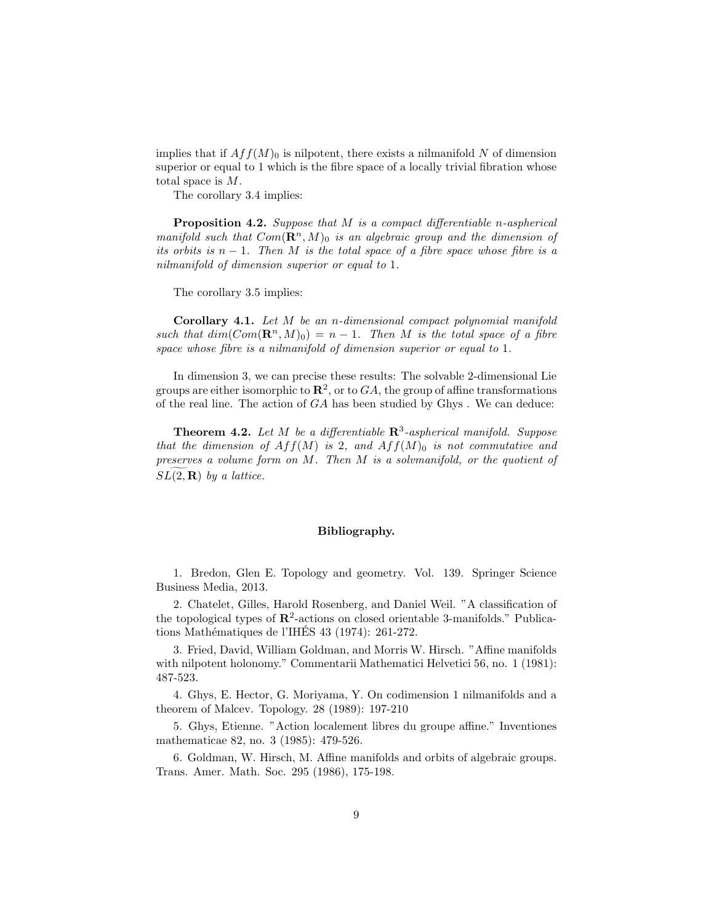implies that if  $Aff(M)_0$  is nilpotent, there exists a nilmanifold N of dimension superior or equal to 1 which is the fibre space of a locally trivial fibration whose total space is M.

The corollary 3.4 implies:

Proposition 4.2. Suppose that M is a compact differentiable n-aspherical manifold such that  $Com(\mathbb{R}^n, M)_0$  is an algebraic group and the dimension of its orbits is  $n-1$ . Then M is the total space of a fibre space whose fibre is a nilmanifold of dimension superior or equal to 1.

The corollary 3.5 implies:

Corollary 4.1. Let M be an n-dimensional compact polynomial manifold such that  $dim(Com(\mathbf{R}^n, M)_0) = n - 1$ . Then M is the total space of a fibre space whose fibre is a nilmanifold of dimension superior or equal to 1.

In dimension 3, we can precise these results: The solvable 2-dimensional Lie groups are either isomorphic to  $\mathbf{R}^2$ , or to  $GA$ , the group of affine transformations of the real line. The action of  $GA$  has been studied by  $Ghys$  . We can deduce:

**Theorem 4.2.** Let M be a differentiable  $\mathbb{R}^3$ -aspherical manifold. Suppose that the dimension of  $Aff(M)$  is 2, and  $Aff(M)_0$  is not commutative and preserves a volume form on M. Then M is a solvmanifold, or the quotient of  $SL(2,\mathbf{R})$  by a lattice.

### Bibliography.

1. Bredon, Glen E. Topology and geometry. Vol. 139. Springer Science Business Media, 2013.

2. Chatelet, Gilles, Harold Rosenberg, and Daniel Weil. "A classification of the topological types of  $\mathbb{R}^2$ -actions on closed orientable 3-manifolds." Publications Mathématiques de l'IHÉS 43 (1974): 261-272.

3. Fried, David, William Goldman, and Morris W. Hirsch. "Affine manifolds with nilpotent holonomy." Commentarii Mathematici Helvetici 56, no. 1 (1981): 487-523.

4. Ghys, E. Hector, G. Moriyama, Y. On codimension 1 nilmanifolds and a theorem of Malcev. Topology. 28 (1989): 197-210

5. Ghys, Etienne. "Action localement libres du groupe affine." Inventiones mathematicae 82, no. 3 (1985): 479-526.

6. Goldman, W. Hirsch, M. Affine manifolds and orbits of algebraic groups. Trans. Amer. Math. Soc. 295 (1986), 175-198.